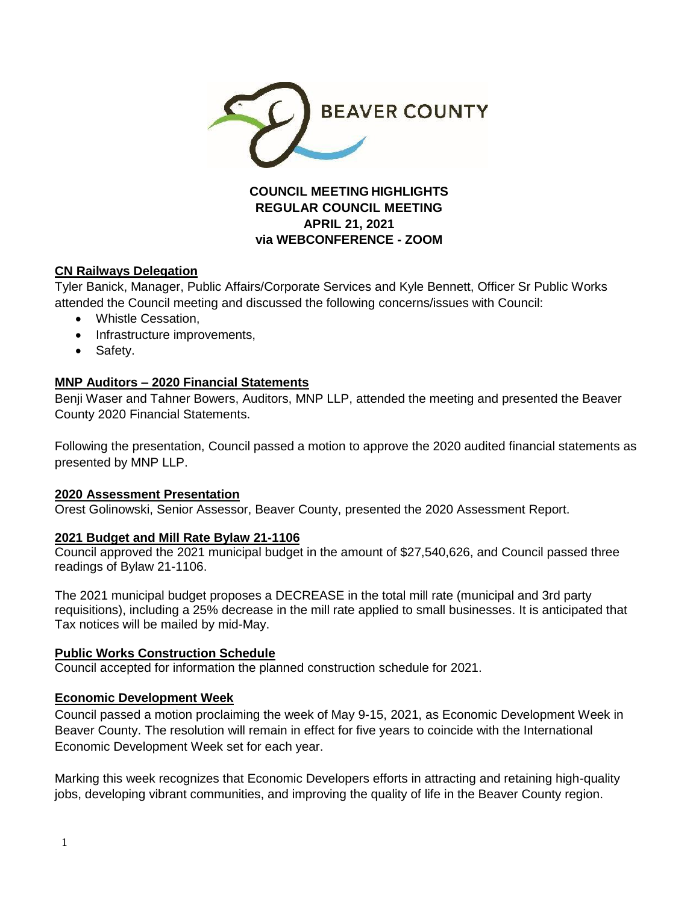

# **COUNCIL MEETING HIGHLIGHTS REGULAR COUNCIL MEETING APRIL 21, 2021 via WEBCONFERENCE - ZOOM**

# **CN Railways Delegation**

Tyler Banick, Manager, Public Affairs/Corporate Services and Kyle Bennett, Officer Sr Public Works attended the Council meeting and discussed the following concerns/issues with Council:

- Whistle Cessation.
- Infrastructure improvements.
- Safety.

### **MNP Auditors – 2020 Financial Statements**

Benji Waser and Tahner Bowers, Auditors, MNP LLP, attended the meeting and presented the Beaver County 2020 Financial Statements.

Following the presentation, Council passed a motion to approve the 2020 audited financial statements as presented by MNP LLP.

### **2020 Assessment Presentation**

Orest Golinowski, Senior Assessor, Beaver County, presented the 2020 Assessment Report.

### **2021 Budget and Mill Rate Bylaw 21-1106**

Council approved the 2021 municipal budget in the amount of \$27,540,626, and Council passed three readings of Bylaw 21-1106.

The 2021 municipal budget proposes a DECREASE in the total mill rate (municipal and 3rd party requisitions), including a 25% decrease in the mill rate applied to small businesses. It is anticipated that Tax notices will be mailed by mid-May.

### **Public Works Construction Schedule**

Council accepted for information the planned construction schedule for 2021.

### **Economic Development Week**

Council passed a motion proclaiming the week of May 9-15, 2021, as Economic Development Week in Beaver County. The resolution will remain in effect for five years to coincide with the International Economic Development Week set for each year.

Marking this week recognizes that Economic Developers efforts in attracting and retaining high-quality jobs, developing vibrant communities, and improving the quality of life in the Beaver County region.